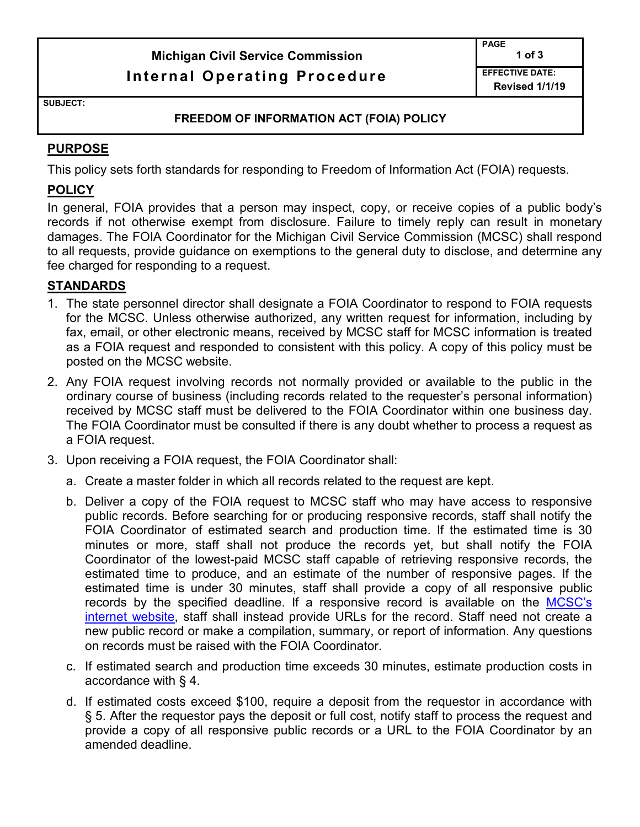# **Michigan Civil Service Commission Internal Operating Procedure**

**PAGE 1 of 3 EFFECTIVE DATE: Revised 1/1/19** 

**SUBJECT:** 

#### **FREEDOM OF INFORMATION ACT (FOIA) POLICY**

#### **PURPOSE**

This policy sets forth standards for responding to Freedom of Information Act (FOIA) requests.

### **POLICY**

In general, FOIA provides that a person may inspect, copy, or receive copies of a public body's records if not otherwise exempt from disclosure. Failure to timely reply can result in monetary damages. The FOIA Coordinator for the Michigan Civil Service Commission (MCSC) shall respond to all requests, provide guidance on exemptions to the general duty to disclose, and determine any fee charged for responding to a request.

#### **STANDARDS**

- 1. The state personnel director shall designate a FOIA Coordinator to respond to FOIA requests for the MCSC. Unless otherwise authorized, any written request for information, including by fax, email, or other electronic means, received by MCSC staff for MCSC information is treated as a FOIA request and responded to consistent with this policy. A copy of this policy must be posted on the MCSC website.
- 2. Any FOIA request involving records not normally provided or available to the public in the ordinary course of business (including records related to the requester's personal information) received by MCSC staff must be delivered to the FOIA Coordinator within one business day. The FOIA Coordinator must be consulted if there is any doubt whether to process a request as a FOIA request.
- 3. Upon receiving a FOIA request, the FOIA Coordinator shall:
	- a. Create a master folder in which all records related to the request are kept.
	- b. Deliver a copy of the FOIA request to MCSC staff who may have access to responsive public records. Before searching for or producing responsive records, staff shall notify the FOIA Coordinator of estimated search and production time. If the estimated time is 30 minutes or more, staff shall not produce the records yet, but shall notify the FOIA Coordinator of the lowest-paid MCSC staff capable of retrieving responsive records, the estimated time to produce, and an estimate of the number of responsive pages. If the estimated time is under 30 minutes, staff shall provide a copy of all responsive public records by the specified deadline. If a responsive record is available on the MCSC's [internet website,](http://www.mi.gov/mdcs) staff shall instead provide URLs for the record. Staff need not create a new public record or make a compilation, summary, or report of information. Any questions on records must be raised with the FOIA Coordinator.
	- c. If estimated search and production time exceeds 30 minutes, estimate production costs in accordance with § 4.
	- d. If estimated costs exceed \$100, require a deposit from the requestor in accordance with § 5. After the requestor pays the deposit or full cost, notify staff to process the request and provide a copy of all responsive public records or a URL to the FOIA Coordinator by an amended deadline.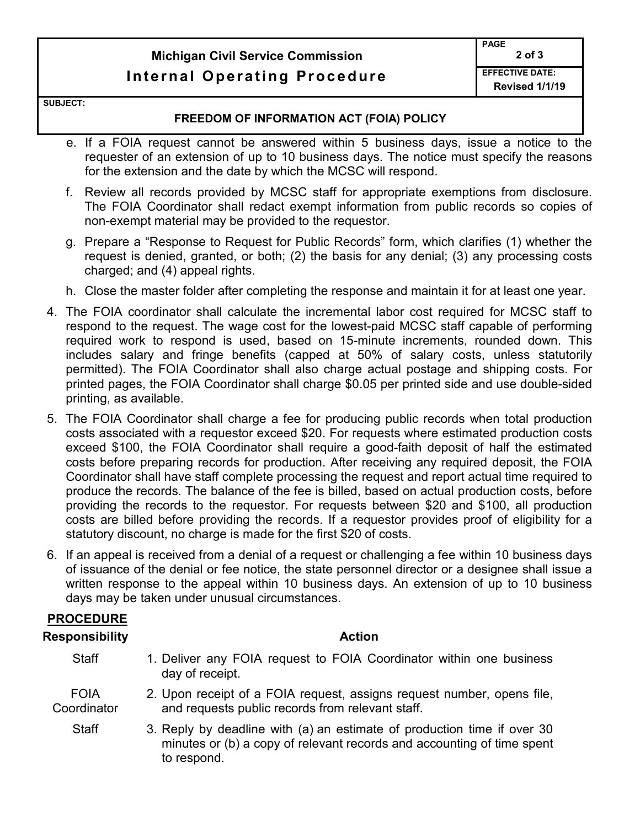# **Michigan Civil Service Commission Internal Operating Procedure**

**SUBJECT:** 

#### **FREEDOM OF INFORMATION ACT (FOIA) POLICY**

- e. If a FOIA request cannot be answered within 5 business days, issue a notice to the requester of an extension of up to 10 business days. The notice must specify the reasons for the extension and the date by which the MCSC will respond.
- f. Review all records provided by MCSC staff for appropriate exemptions from disclosure. The FOIA Coordinator shall redact exempt information from public records so copies of non-exempt material may be provided to the requestor.
- g. Prepare a "Response to Request for Public Records" form, which clarifies (1) whether the request is denied, granted, or both; (2) the basis for any denial; (3) any processing costs charged; and (4) appeal rights.
- h. Close the master folder after completing the response and maintain it for at least one year.
- 4. The FOIA coordinator shall calculate the incremental labor cost required for MCSC staff to respond to the request. The wage cost for the lowest-paid MCSC staff capable of performing required work to respond is used, based on 15-minute increments, rounded down. This includes salary and fringe benefits (capped at 50% of salary costs, unless statutorily permitted). The FOIA Coordinator shall also charge actual postage and shipping costs. For printed pages, the FOIA Coordinator shall charge \$0.05 per printed side and use double-sided printing, as available.
- 5. The FOIA Coordinator shall charge a fee for producing public records when total production costs associated with a requestor exceed \$20. For requests where estimated production costs exceed \$100, the FOIA Coordinator shall require a good-faith deposit of half the estimated costs before preparing records for production. After receiving any required deposit, the FOIA Coordinator shall have staff complete processing the request and report actual time required to produce the records. The balance of the fee is billed, based on actual production costs, before providing the records to the requestor. For requests between \$20 and \$100, all production costs are billed before providing the records. If a requestor provides proof of eligibility for a statutory discount, no charge is made for the first \$20 of costs.
- 6. If an appeal is received from a denial of a request or challenging a fee within 10 business days of issuance of the denial or fee notice, the state personnel director or a designee shall issue a written response to the appeal within 10 business days. An extension of up to 10 business days may be taken under unusual circumstances.

### **PROCEDURE**

# **Responsibility Action**

- Staff 1. Deliver any FOIA request to FOIA Coordinator within one business day of receipt.
- FOIA **Coordinator** 2. Upon receipt of a FOIA request, assigns request number, opens file, and requests public records from relevant staff.
	- Staff 3. Reply by deadline with (a) an estimate of production time if over 30 minutes or (b) a copy of relevant records and accounting of time spent to respond.